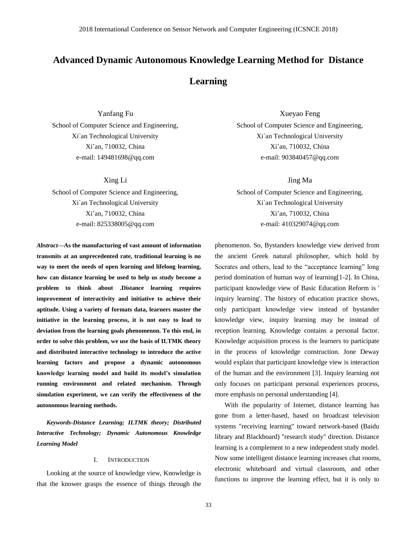# **Advanced Dynamic Autonomous Knowledge Learning Method for Distance Learning**

Yanfang Fu School of Computer Science and Engineering, Xi`an Technological University Xi'an, 710032, China e-mail: 149481698@qq.com

Xing Li

School of Computer Science and Engineering, Xi`an Technological University Xi'an, 710032, China e-mail: 825338005@qq.com

*Abstract***—As the manufacturing of vast amount of information transmits at an unprecedented rate, traditional learning is no way to meet the needs of open learning and lifelong learning, how can distance learning be used to help us study become a problem to think about .Distance learning requires improvement of interactivity and initiative to achieve their aptitude. Using a variety of formats data, learners master the initiative in the learning process, it is not easy to lead to deviation from the learning goals phenomenon. To this end, in order to solve this problem, we use the basis of ILTMK theory and distributed interactive technology to introduce the active learning factors and propose a dynamic autonomous knowledge learning model and build its model's simulation running environment and related mechanism. Through simulation experiment, we can verify the effectiveness of the autonomous learning methods.**

*Keywords-Distance Learning; ILTMK theory; Distributed Interactive Technology; Dynamic Autonomous Knowledge Learning Model*

### I. INTRODUCTION

Looking at the source of knowledge view, Knowledge is that the knower grasps the essence of things through the

Xueyao Feng School of Computer Science and Engineering, Xi`an Technological University Xi'an, 710032, China e-mail: 903840457@qq.com

Jing Ma

School of Computer Science and Engineering, Xi`an Technological University Xi'an, 710032, China e-mail: 410329074@qq.com

phenomenon. So, Bystanders knowledge view derived from the ancient Greek natural philosopher, which hold by Socrates and others, lead to the "acceptance learning" long period domination of human way of learning[1-2]. In China, participant knowledge view of Basic Education Reform is ' inquiry learning'. The history of education practice shows, only participant knowledge view instead of bystander knowledge view, inquiry learning may be instead of reception learning. Knowledge contains a personal factor. Knowledge acquisition process is the learners to participate in the process of knowledge construction. Jone Deway would explain that participant knowledge view is interaction of the human and the environment [3]. Inquiry learning not only focuses on participant personal experiences process, more emphasis on personal understanding [4].

With the popularity of Internet, distance learning has gone from a letter-based, based on broadcast television systems "receiving learning" toward network-based (Baidu library and Blackboard) "research study" direction. Distance learning is a complement to a new independent study model. Now some intelligent distance learning increases chat rooms, electronic whiteboard and virtual classroom, and other functions to improve the learning effect, but it is only to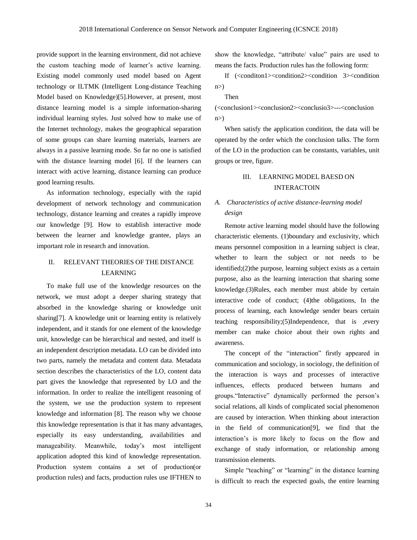provide support in the learning environment, did not achieve the custom teaching mode of learner's active learning. Existing model commonly used model based on Agent technology or ILTMK (Intelligent Long-distance Teaching Model based on Knowledge)[5].However, at present, most distance learning model is a simple information-sharing individual learning styles. Just solved how to make use of the Internet technology, makes the geographical separation of some groups can share learning materials, learners are always in a passive learning mode. So far no one is satisfied with the distance learning model [6]. If the learners can interact with active learning, distance learning can produce good learning results.

As information technology, especially with the rapid development of network technology and communication technology, distance learning and creates a rapidly improve our knowledge [9]. How to establish interactive mode between the learner and knowledge grantee, plays an important role in research and innovation.

# II. RELEVANT THEORIES OF THE DISTANCE LEARNING

To make full use of the knowledge resources on the network, we must adopt a deeper sharing strategy that absorbed in the knowledge sharing or knowledge unit sharing[7]. A knowledge unit or learning entity is relatively independent, and it stands for one element of the knowledge unit, knowledge can be hierarchical and nested, and itself is an independent description metadata. LO can be divided into two parts, namely the metadata and content data. Metadata section describes the characteristics of the LO, content data part gives the knowledge that represented by LO and the information. In order to realize the intelligent reasoning of the system, we use the production system to represent knowledge and information [8]. The reason why we choose this knowledge representation is that it has many advantages, especially its easy understanding, availabilities and manageability. Meanwhile, today's most intelligent application adopted this kind of knowledge representation. Production system contains a set of production(or production rules) and facts, production rules use IFTHEN to

show the knowledge, "attribute/ value" pairs are used to means the facts. Production rules has the following form:

If (<conditon1><condition2><condition 3><condition  $n$ )

Then

(<conclusion1><conclusion2><conclusio3>---<conclusion  $n$ )

When satisfy the application condition, the data will be operated by the order which the conclusion talks. The form of the LO in the production can be constants, variables, unit groups or tree, figure.

### III. LEARNING MODEL BAESD ON INTERACTOIN

### *A. Characteristics of active distance-learning model design*

Remote active learning model should have the following characteristic elements. (1)boundary and exclusivity, which means personnel composition in a learning subject is clear, whether to learn the subject or not needs to be identified;(2)the purpose, learning subject exists as a certain purpose, also as the learning interaction that sharing some knowledge.(3)Rules, each member must abide by certain interactive code of conduct; (4)the obligations, In the process of learning, each knowledge sender bears certain teaching responsibility;(5)Independence, that is ,every member can make choice about their own rights and awareness.

The concept of the "interaction" firstly appeared in communication and sociology, in sociology, the definition of the interaction is ways and processes of interactive influences, effects produced between humans and groups."Interactive" dynamically performed the person's social relations, all kinds of complicated social phenomenon are caused by interaction. When thinking about interaction in the field of communication[9], we find that the interaction's is more likely to focus on the flow and exchange of study information, or relationship among transmission elements.

Simple "teaching" or "learning" in the distance learning is difficult to reach the expected goals, the entire learning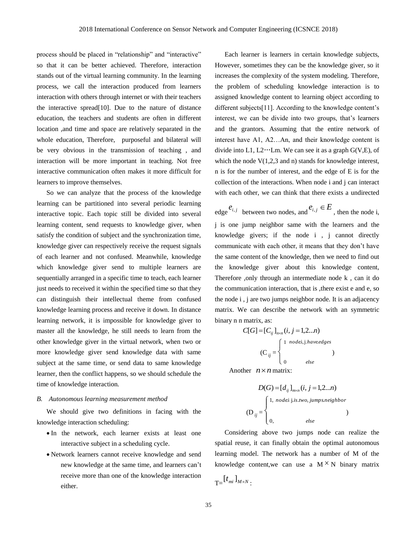process should be placed in "relationship" and "interactive" so that it can be better achieved. Therefore, interaction stands out of the virtual learning community. In the learning process, we call the interaction produced from learners interaction with others through internet or with their teachers the interactive spread[10]. Due to the nature of distance education, the teachers and students are often in different location ,and time and space are relatively separated in the whole education, Therefore, purposeful and bilateral will be very obvious in the transmission of teaching , and interaction will be more important in teaching. Not free interactive communication often makes it more difficult for learners to improve themselves.

So we can analyze that the process of the knowledge learning can be partitioned into several periodic learning interactive topic. Each topic still be divided into several learning content, send requests to knowledge giver, when satisfy the condition of subject and the synchronization time, knowledge giver can respectively receive the request signals of each learner and not confused. Meanwhile, knowledge which knowledge giver send to multiple learners are sequentially arranged in a specific time to teach, each learner just needs to received it within the specified time so that they can distinguish their intellectual theme from confused knowledge learning process and receive it down. In distance learning network, it is impossible for knowledge giver to master all the knowledge, he still needs to learn from the other knowledge giver in the virtual network, when two or more knowledge giver send knowledge data with same subject at the same time, or send data to same knowledge learner, then the conflict happens, so we should schedule the time of knowledge interaction.

#### *B. Autonomous learning measurement method*

We should give two definitions in facing with the knowledge interaction scheduling:

- In the network, each learner exists at least one interactive subject in a scheduling cycle.
- Network learners cannot receive knowledge and send new knowledge at the same time, and learners can't receive more than one of the knowledge interaction either.

Each learner is learners in certain knowledge subjects, However, sometimes they can be the knowledge giver, so it increases the complexity of the system modeling. Therefore, the problem of scheduling knowledge interaction is to assigned knowledge content to learning object according to different subjects[11]. According to the knowledge content's interest, we can be divide into two groups, that's learners and the grantors. Assuming that the entire network of interest have A1, A2…An, and their knowledge content is divide into L1,  $L2 \cdots Lm$ . We can see it as a graph G(V,E), of which the node  $V(1,2,3)$  and n) stands for knowledge interest, n is for the number of interest, and the edge of E is for the collection of the interactions. When node i and j can interact with each other, we can think that there exists a undirected

edge  $e_{i,j}$  between two nodes, and  $e_{i,j} \in E$ , then the node i, j is one jump neighbor same with the learners and the knowledge givers; if the node i , j cannot directly communicate with each other, it means that they don't have the same content of the knowledge, then we need to find out the knowledge giver about this knowledge content, Therefore ,only through an intermediate node k , can it do the communication interaction, that is ,there exist e and e, so the node i , j are two jumps neighbor node. It is an adjacency matrix. We can describe the network with an symmetric binary n n matrix, as:

$$
C[G] = [C_{ij}]_{n \times n} (i, j = 1, 2...n)
$$

$$
(C_{ij} = \begin{cases} 1 & nodei, j. have edges \\ 0 & else \end{cases}
$$

Another  $n \times n$  matrix:

$$
D(G) = [d_{ij}]_{m \times n} (i, j = 1, 2...n)
$$
  
\n
$$
(D_{ij} = \begin{cases} 1, \text{ node } i \text{ j.i. two, jumps.} \newline \newline 0, \quad \text{else} \end{cases}
$$

Considering above two jumps node can realize the spatial reuse, it can finally obtain the optimal autonomous learning model. The network has a number of M of the knowledge content, we can use a  $M^{\times}N$  binary matrix

$$
T= \left[ t_{mi} \right]_{M\times N}.
$$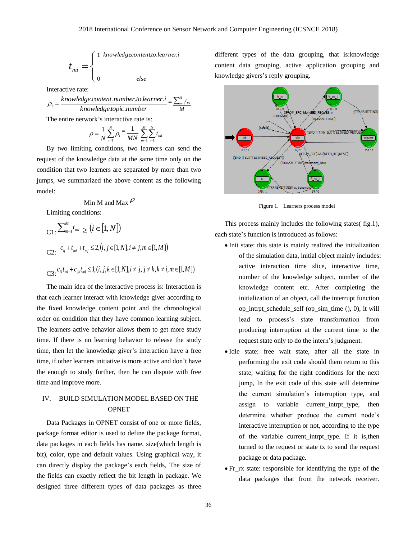$$
t_{mi} = \begin{cases} 1 & \text{knowledgecontent to.} \text{learner:} \\ & \\ 0 & \text{else} \end{cases}
$$

Interactive rate:

*knowledge topic number knowledge content numberto learner i i*<sup>-</sup> knowledge.topic.  $\rho_i = \frac{knowledge content_number_to.length}{knowledge.topic_number} = \frac{\sum_{m=1}^{M} x_m}{M}$  $\sum\nolimits_{m=1}^{M} t_{mi}$ The entire network's interactive rate is:

$$
\rho = \frac{1}{N} \sum_{i=1}^{N} \rho_i = \frac{1}{MN} \sum_{m=1}^{M} \sum_{i=1}^{N} t_{mi}
$$

By two limiting conditions, two learners can send the request of the knowledge data at the same time only on the condition that two learners are separated by more than two jumps, we summarized the above content as the following model:

# Min M and Max  $\rho$

Limiting conditions:

$$
C_1: \sum_{m=1}^{M} t_{mi} \ge (i \in [1, N])
$$
  
\nC2:  $c_{ij} + t_{mi} + t_{mj} \le 2, (i, j \in [1, N], i \ne j, m \in [1, M])$   
\nC3:  $c_{ik}t_{mi} + c_{jk}t_{mj} \le 1, (i, j, k \in [1, N], i \ne j, j \ne k, k \ne i, m \in [1, M])$ 

The main idea of the interactive process is: Interaction is that each learner interact with knowledge giver according to the fixed knowledge content point and the chronological order on condition that they have common learning subject. The learners active behavior allows them to get more study time. If there is no learning behavior to release the study time, then let the knowledge giver's interaction have a free time, if other learners initiative is more active and don't have the enough to study further, then he can dispute with free time and improve more.

## IV. BUILD SIMULATION MODEL BASED ON THE **OPNET**

Data Packages in OPNET consist of one or more fields, package format editor is used to define the package format, data packages in each fields has name, size(which length is bit), color, type and default values. Using graphical way, it can directly display the package's each fields, The size of the fields can exactly reflect the bit length in package. We designed three different types of data packages as three

different types of the data grouping, that is:knowledge content data grouping, active application grouping and knowledge givers's reply grouping.



Figure 1. Learners process model

This process mainly includes the following states( fig.1), each state's function is introduced as follows:

- Init state: this state is mainly realized the initialization of the simulation data, initial object mainly includes: active interaction time slice, interactive time, number of the knowledge subject, number of the knowledge content etc. After completing the initialization of an object, call the interrupt function op\_intrpt\_schedule\_self (op\_sim\_time (), 0), it will lead to process's state transformation from producing interruption at the current time to the request state only to do the intern's judgment.
- Idle state: free wait state, after all the state in performing the exit code should them return to this state, waiting for the right conditions for the next jump, In the exit code of this state will determine the current simulation's interruption type, and assign to variable current\_intrpt\_type, then determine whether produce the current node's interactive interruption or not, according to the type of the variable current\_intrpt\_type. If it is,then turned to the request or state tx to send the request package or data package.
- Fr\_rx state: responsible for identifying the type of the data packages that from the network receiver.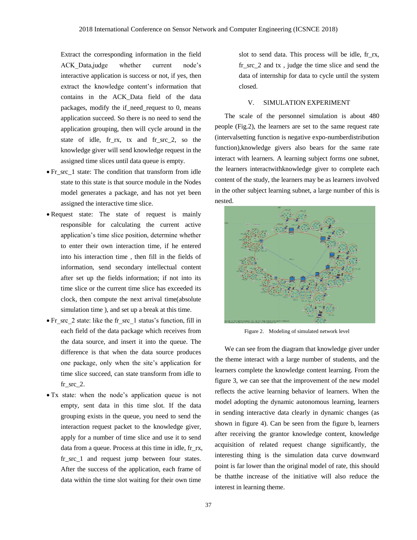Extract the corresponding information in the field ACK Data,judge whether current node's interactive application is success or not, if yes, then extract the knowledge content's information that contains in the ACK\_Data field of the data packages, modify the if\_need\_request to 0, means application succeed. So there is no need to send the application grouping, then will cycle around in the state of idle, fr\_rx, tx and fr\_src\_2, so the knowledge giver will send knowledge request in the assigned time slices until data queue is empty.

- Fr\_src\_1 state: The condition that transform from idle state to this state is that source module in the Nodes model generates a package, and has not yet been assigned the interactive time slice.
- Request state: The state of request is mainly responsible for calculating the current active application's time slice position, determine whether to enter their own interaction time, if he entered into his interaction time , then fill in the fields of information, send secondary intellectual content after set up the fields information; if not into its time slice or the current time slice has exceeded its clock, then compute the next arrival time(absolute simulation time ), and set up a break at this time.
- Fr\_src\_2 state: like the fr\_src\_1 status's function, fill in each field of the data package which receives from the data source, and insert it into the queue. The difference is that when the data source produces one package, only when the site's application for time slice succeed, can state transform from idle to fr\_src\_2.
- Tx state: when the node's application queue is not empty, sent data in this time slot. If the data grouping exists in the queue, you need to send the interaction request packet to the knowledge giver, apply for a number of time slice and use it to send data from a queue. Process at this time in idle, fr\_rx, fr\_src\_1 and request jump between four states. After the success of the application, each frame of data within the time slot waiting for their own time

slot to send data. This process will be idle, fr\_rx, fr  $src\ 2$  and  $tx\$ , judge the time slice and send the data of internship for data to cycle until the system closed.

#### V. SIMULATION EXPERIMENT

The scale of the personnel simulation is about 480 people (Fig.2), the learners are set to the same request rate (intervalsetting function is negative expo-numberdistribution function),knowledge givers also bears for the same rate interact with learners. A learning subject forms one subnet, the learners interactwithknowledge giver to complete each content of the study, the learners may be as learners involved in the other subject learning subnet, a large number of this is nested.



Figure 2. Modeling of simulated network level

We can see from the diagram that knowledge giver under the theme interact with a large number of students, and the learners complete the knowledge content learning. From the figure 3, we can see that the improvement of the new model reflects the active learning behavior of learners. When the model adopting the dynamic autonomous learning, learners in sending interactive data clearly in dynamic changes (as shown in figure 4). Can be seen from the figure b, learners after receiving the grantor knowledge content, knowledge acquisition of related request change significantly, the interesting thing is the simulation data curve downward point is far lower than the original model of rate, this should be thatthe increase of the initiative will also reduce the interest in learning theme.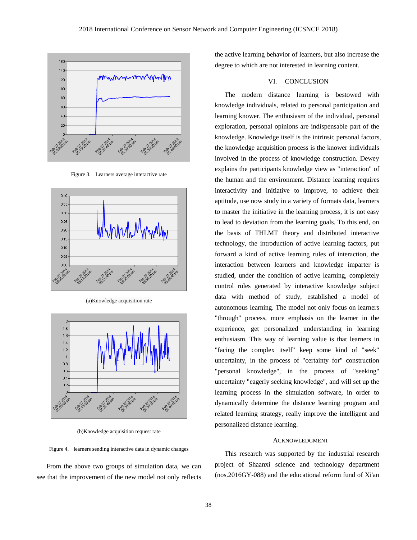

Figure 3. Learners average interactive rate



(a)Knowledge acquisition rate



(b)Knowledge acquisition request rate

Figure 4. learners sending interactive data in dynamic changes

From the above two groups of simulation data, we can see that the improvement of the new model not only reflects

the active learning behavior of learners, but also increase the degree to which are not interested in learning content.

#### VI. CONCLUSION

The modern distance learning is bestowed with knowledge individuals, related to personal participation and learning knower. The enthusiasm of the individual, personal exploration, personal opinions are indispensable part of the knowledge. Knowledge itself is the intrinsic personal factors, the knowledge acquisition process is the knower individuals involved in the process of knowledge construction. Dewey explains the participants knowledge view as "interaction" of the human and the environment. Distance learning requires interactivity and initiative to improve, to achieve their aptitude, use now study in a variety of formats data, learners to master the initiative in the learning process, it is not easy to lead to deviation from the learning goals. To this end, on the basis of THLMT theory and distributed interactive technology, the introduction of active learning factors, put forward a kind of active learning rules of interaction, the interaction between learners and knowledge imparter is studied, under the condition of active learning, completely control rules generated by interactive knowledge subject data with method of study, established a model of autonomous learning. The model not only focus on learners "through" process, more emphasis on the learner in the experience, get personalized understanding in learning enthusiasm. This way of learning value is that learners in "facing the complex itself" keep some kind of "seek" uncertainty, in the process of "certainty for" construction "personal knowledge", in the process of "seeking" uncertainty "eagerly seeking knowledge", and will set up the learning process in the simulation software, in order to dynamically determine the distance learning program and related learning strategy, really improve the intelligent and personalized distance learning.

#### ACKNOWLEDGMENT

This research was supported by the industrial research project of Shaanxi science and technology department (nos.2016GY-088) and the educational reform fund of Xi'an